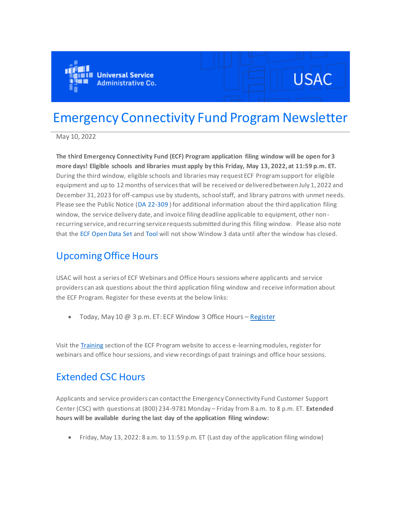

# **USAC**

## Emergency Connectivity Fund Program Newsletter

May 10, 2022

**The third Emergency Connectivity Fund (ECF) Program application filing window will be open for 3 more days! Eligible schools and libraries must apply by this Friday, May 13, 2022, at 11:59 p.m. ET.**  During the third window, eligible schools and libraries may request ECF Program support for eligible equipment and up to 12 months of services that will be received or delivered between July 1, 2022 and December 31, 2023 for off-campus use by students, school staff, and library patrons with unmet needs. Please see the Public Notice [\(DA 22-309](https://click.outreach.usac.org/?qs=99ef058f8dceef3dae4439d823567f2aef162319c8f01fdb42c51c3fb24cda35a5be50dfa12e7b74d9fe319696384aafe590304ab0130dd4) ) for additional information about the third application filing window, the service delivery date, and invoice filing deadline applicable to equipment, other nonrecurring service, and recurring service requests submitted during this filing window. Please also note that the [ECF Open Data Set](https://click.outreach.usac.org/?qs=99ef058f8dceef3d6ede4a9ddc5583afc26d1a9c7284251c6b3bbab134414a8d8462f57100b653aa80df63d7cc6847f23399d448e0c9964f) an[d Tool](https://click.outreach.usac.org/?qs=99ef058f8dceef3d045d44b79bc9a794da6dbd67e778536f3368610775f587104943e4ed6874c7ef592c87a14c8d7721a8ab4a7e14eb662f) will not show Window 3 data until after the window has closed.

## Upcoming Office Hours

USAC will host a series of ECF Webinars and Office Hours sessions where applicants and service providers can ask questions about the third application filing window and receive information about the ECF Program. Register for these events at the below links:

• Today, May 10 @ 3 p.m. ET: ECF Window 3 Office Hours – [Register](https://click.outreach.usac.org/?qs=99ef058f8dceef3d1be07419256010babeaf22ec6b6fb273ca438284ffd0c29a1a81e1c6c5a014544d524ec12c1ffac99b2ad5be409ad09a)

Visit the [Training](https://click.outreach.usac.org/?qs=99ef058f8dceef3d86d56c3a553890dcb6ff7aa3966bd3136211098679c16674dfab794dd31755e1f9153fa7c018a118afcf65704fdba12c) section of the ECF Program website to access e-learning modules, register for webinars and office hour sessions, and view recordings of past trainings and office hour sessions.

## Extended CSC Hours

Applicants and service providers can contact the Emergency Connectivity Fund Customer Support Center (CSC) with questions at (800) 234-9781 Monday – Friday from 8 a.m. to 8 p.m. ET. **Extended hours will be available during the last day of the application filing window:**

• Friday, May 13, 2022: 8 a.m. to 11:59 p.m. ET (Last day of the application filing window)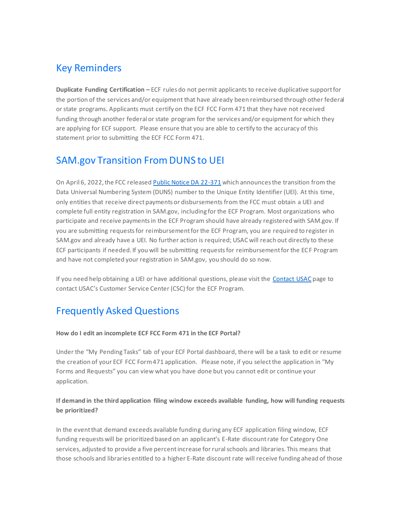## Key Reminders

**Duplicate Funding Certification –** ECF rules do not permit applicants to receive duplicative support for the portion of the services and/or equipment that have already been reimbursed through other federal or state programs. Applicants must certify on the ECF FCC Form 471 that they have not received funding through another federal or state program for the services and/or equipment for which they are applying for ECF support. Please ensure that you are able to certify to the accuracy of this statement prior to submitting the ECF FCC Form 471.

## SAM.gov Transition From DUNS to UEI

On April 6, 2022, the FCC released [Public Notice DA 22-371](https://click.outreach.usac.org/?qs=65427dc5cf6a8467b797434c6ea36e5a2e6415b417fd2ec447bd5cdd2070ef2e5208453314af36f805ae2d2560672f55a5ba702359ae8fc9) which announces the transition from the Data Universal Numbering System (DUNS) number to the Unique Entity Identifier (UEI). At this time, only entities that receive direct payments or disbursements from the FCC must obtain a UEI and complete full entity registration in SAM.gov, including for the ECF Program. Most organizations who participate and receive payments in the ECF Program should have already registered with SAM.gov. If you are submitting requests for reimbursement for the ECF Program, you are required to register in SAM.gov and already have a UEI. No further action is required; USAC will reach out directly to these ECF participants if needed. If you will be submitting requests for reimbursement for the ECF Program and have not completed your registration in SAM.gov, you should do so now.

If you need help obtaining a UEI or have additional questions, please visit the [Contact USAC](https://click.outreach.usac.org/?qs=65427dc5cf6a8467abdefcb505020a54472261efb80bf9e9c91fe9a548c5099d6db6b3de588c87e706ffda24acf67b018f0e9e0597b895e0) page to contact USAC's Customer Service Center (CSC) for the ECF Program.

## Frequently Asked Questions

#### **How do I edit an incomplete ECF FCC Form 471 in the ECF Portal?**

Under the "My Pending Tasks" tab of your ECF Portal dashboard, there will be a task to edit or resume the creation of your ECF FCC Form 471 application. Please note, if you select the application in "My Forms and Requests" you can view what you have done but you cannot edit or continue your application.

#### **If demand in the third application filing window exceeds available funding, how will funding requests be prioritized?**

In the event that demand exceeds available funding during any ECF application filing window, ECF funding requests will be prioritized based on an applicant's E-Rate discount rate for Category One services, adjusted to provide a five percent increase for rural schools and libraries. This means that those schools and libraries entitled to a higher E-Rate discount rate will receive funding ahead of those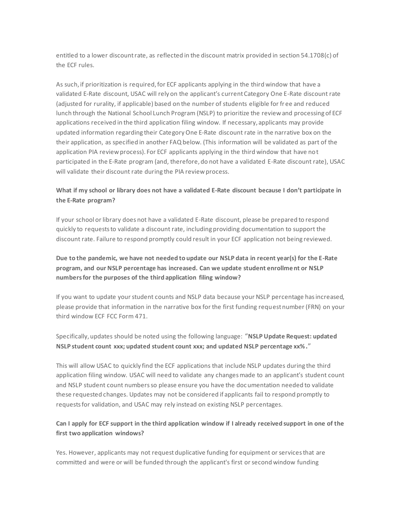entitled to a lower discount rate, as reflected in the discount matrix provided in section 54.1708(c) of the ECF rules.

As such, if prioritization is required, for ECF applicants applying in the third window that have a validated E-Rate discount, USAC will rely on the applicant's current Category One E-Rate discount rate (adjusted for rurality, if applicable) based on the number of students eligible for fr ee and reduced lunch through the National School Lunch Program (NSLP) to prioritize the review and processing of ECF applications received in the third application filing window. If necessary, applicants may provide updated information regarding their Category One E-Rate discount rate in the narrative box on the their application, as specified in another FAQ below. (This information will be validated as part of the application PIA review process). For ECF applicants applying in the third window that have not participated in the E-Rate program (and, therefore, do not have a validated E-Rate discount rate), USAC will validate their discount rate during the PIA review process.

#### **What if my school or library does not have a validated E-Rate discount because I don't participate in the E-Rate program?**

If your school or library does not have a validated E-Rate discount, please be prepared to respond quickly to requests to validate a discount rate, including providing documentation to support the discount rate. Failure to respond promptly could result in your ECF application not being reviewed.

#### **Due to the pandemic, we have not needed to update our NSLP data in recent year(s) for the E-Rate program, and our NSLP percentage has increased. Can we update student enrollment or NSLP numbers for the purposes of the third application filing window?**

If you want to update your student counts and NSLP data because your NSLP percentage has increased, please provide that information in the narrative box for the first funding request number (FRN) on your third window ECF FCC Form 471.

Specifically, updates should be noted using the following language: "**NSLP Update Request: updated NSLP student count xxx; updated student count xxx; and updated NSLP percentage xx%.**"

This will allow USAC to quickly find the ECF applications that include NSLP updates during the third application filing window. USAC will need to validate any changes made to an applicant's student count and NSLP student count numbers so please ensure you have the documentation needed to validate these requested changes. Updates may not be considered if applicants fail to respond promptly to requests for validation, and USAC may rely instead on existing NSLP percentages.

#### **Can I apply for ECF support in the third application window if I already received support in one of the first two application windows?**

Yes. However, applicants may not request duplicative funding for equipment or services that are committed and were or will be funded through the applicant's first or second window funding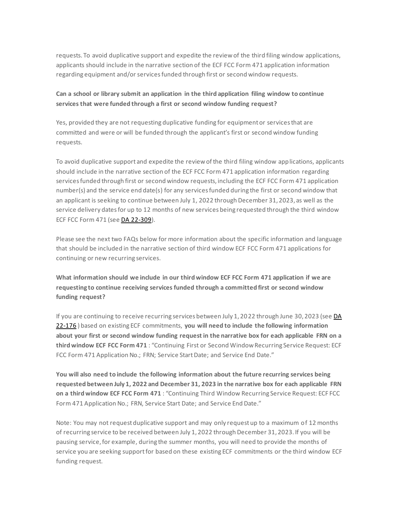requests. To avoid duplicative support and expedite the review of the third filing window applications, applicants should include in the narrative section of the ECF FCC Form 471 application information regarding equipment and/or services funded through first or second window requests.

#### **Can a school or library submit an application in the third application filing window to continue services that were funded through a first or second window funding request?**

Yes, provided they are not requesting duplicative funding for equipment or services that are committed and were or will be funded through the applicant's first or second window funding requests.

To avoid duplicative support and expedite the review of the third filing window applications, applicants should include in the narrative section of the ECF FCC Form 471 application information regarding services funded through first or second window requests, including the ECF FCC Form 471 application number(s) and the service end date(s) for any services funded during the first or second window that an applicant is seeking to continue between July 1, 2022 through December 31, 2023, as well as the service delivery dates for up to 12 months of new services being requested through the third window ECF FCC Form 471 (see [DA 22-309\)](https://click.outreach.usac.org/?qs=99ef058f8dceef3dae4439d823567f2aef162319c8f01fdb42c51c3fb24cda35a5be50dfa12e7b74d9fe319696384aafe590304ab0130dd4).

Please see the next two FAQs below for more information about the specific information and language that should be included in the narrative section of third window ECF FCC Form 471 applications for continuing or new recurring services.

**What information should we include in our third window ECF FCC Form 471 application if we are requesting to continue receiving services funded through a committed first or second window funding request?**

If you are continuing to receive recurring services between July 1, 2022 through June 30, 2023 (se[e DA](https://click.outreach.usac.org/?qs=65427dc5cf6a8467d78a74fba154ffbc03d60f540e2cc4b8041bf8334b7263a330a042dd24685d59087bee57e011bbd118d2d0bf9d0a11ca)  [22-176](https://click.outreach.usac.org/?qs=65427dc5cf6a8467d78a74fba154ffbc03d60f540e2cc4b8041bf8334b7263a330a042dd24685d59087bee57e011bbd118d2d0bf9d0a11ca) ) based on existing ECF commitments, **you will need to include the following information about your first or second window funding request in the narrative box for each applicable FRN on a third window ECF FCC Form 471** : "Continuing First or Second Window Recurring Service Request: ECF FCC Form 471 Application No.; FRN; Service Start Date; and Service End Date."

**You will also need to include the following information about the future recurring services being requested between July 1, 2022 and December 31, 2023 in the narrative box for each applicable FRN on a third window ECF FCC Form 471** : "Continuing Third Window Recurring Service Request: ECF FCC Form 471 Application No.; FRN, Service Start Date; and Service End Date."

Note: You may not request duplicative support and may only request up to a maximum of 12 months of recurring service to be received between July 1, 2022 through December 31, 2023. If you will be pausing service, for example, during the summer months, you will need to provide the months of service you are seeking support for based on these existing ECF commitments or the third window ECF funding request.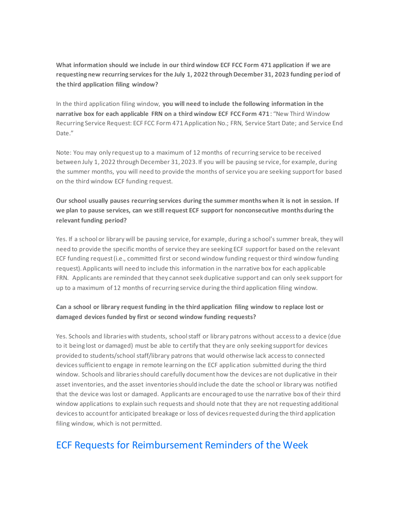**What information should we include in our third window ECF FCC Form 471 application if we are requesting new recurring services for the July 1, 2022 through December 31, 2023 funding period of the third application filing window?**

In the third application filing window, **you will need to include the following information in the narrative box for each applicable FRN on a third window ECF FCC Form 471**: "New Third Window Recurring Service Request: ECF FCC Form 471 Application No.; FRN, Service Start Date; and Service End Date."

Note: You may only request up to a maximum of 12 months of recurring service to be received between July 1, 2022 through December 31, 2023. If you will be pausing se rvice, for example, during the summer months, you will need to provide the months of service you are seeking support for based on the third window ECF funding request.

**Our school usually pauses recurring services during the summer months when it is not in session. If we plan to pause services, can we still request ECF support for nonconsecutive months during the relevant funding period?**

Yes. If a school or library will be pausing service, for example, during a school's summer break, they will need to provide the specific months of service they are seeking ECF support for based on the relevant ECF funding request (i.e., committed first or second window funding request or third window funding request). Applicants will need to include this information in the narrative box for each applicable FRN. Applicants are reminded that they cannot seek duplicative support and can only seek support for up to a maximum of 12 months of recurring service during the third application filing window.

#### **Can a school or library request funding in the third application filing window to replace lost or damaged devices funded by first or second window funding requests?**

Yes. Schools and libraries with students, school staff or library patrons without access to a device (due to it being lost or damaged) must be able to certify that they are only seeking support for devices provided to students/school staff/library patrons that would otherwise lack access to connected devices sufficient to engage in remote learning on the ECF application submitted during the third window. Schools and libraries should carefully document how the devices are not duplicative in their asset inventories, and the asset inventories should include the date the school or library was notified that the device was lost or damaged. Applicants are encouraged to use the narrative box of their third window applications to explain such requests and should note that they are not requesting additional devices to account for anticipated breakage or loss of devices requested during the third application filing window, which is not permitted.

## ECF Requests for Reimbursement Reminders of the Week